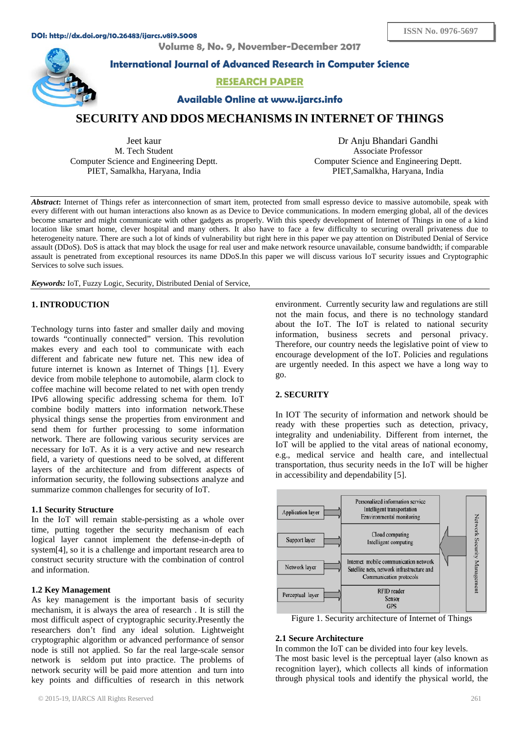**Volume 8, No. 9, November-December 2017**



**International Journal of Advanced Research in Computer Science**

# **RESEARCH PAPER**

**Available Online at www.ijarcs.info**

# **SECURITY AND DDOS MECHANISMS IN INTERNET OF THINGS**

Jeet kaur M. Tech Student Computer Science and Engineering Deptt. PIET, Samalkha, Haryana, India

Dr Anju Bhandari Gandhi Associate Professor Computer Science and Engineering Deptt. PIET,Samalkha, Haryana, India

*Abstract***:** Internet of Things refer as interconnection of smart item, protected from small espresso device to massive automobile, speak with every different with out human interactions also known as as Device to Device communications. In modern emerging global, all of the devices become smarter and might communicate with other gadgets as properly. With this speedy development of Internet of Things in one of a kind location like smart home, clever hospital and many others. It also have to face a few difficulty to securing overall privateness due to heterogeneity nature. There are such a lot of kinds of vulnerability but right here in this paper we pay attention on Distributed Denial of Service assault (DDoS). DoS is attack that may block the usage for real user and make network resource unavailable, consume bandwidth; if comparable assault is penetrated from exceptional resources its name DDoS.In this paper we will discuss various IoT security issues and Cryptographic Services to solve such issues.

*Keywords:* IoT, Fuzzy Logic, Security, Distributed Denial of Service,

# **1. INTRODUCTION**

Technology turns into faster and smaller daily and moving towards "continually connected" version. This revolution makes every and each tool to communicate with each different and fabricate new future net. This new idea of future internet is known as Internet of Things [1]. Every device from mobile telephone to automobile, alarm clock to coffee machine will become related to net with open trendy IPv6 allowing specific addressing schema for them. IoT combine bodily matters into information network.These physical things sense the properties from environment and send them for further processing to some information network. There are following various security services are necessary for IoT. As it is a very active and new research field, a variety of questions need to be solved, at different layers of the architecture and from different aspects of information security, the following subsections analyze and summarize common challenges for security of IoT.

## **1.1 Security Structure**

In the IoT will remain stable-persisting as a whole over time, putting together the security mechanism of each logical layer cannot implement the defense-in-depth of system[4], so it is a challenge and important research area to construct security structure with the combination of control and information.

### **1.2 Key Management**

As key management is the important basis of security mechanism, it is always the area of research . It is still the most difficult aspect of cryptographic security.Presently the researchers don't find any ideal solution. Lightweight cryptographic algorithm or advanced performance of sensor node is still not applied. So far the real large-scale sensor network is seldom put into practice. The problems of network security will be paid more attention and turn into key points and difficulties of research in this network

environment. Currently security law and regulations are still not the main focus, and there is no technology standard about the IoT. The IoT is related to national security information, business secrets and personal privacy. Therefore, our country needs the legislative point of view to encourage development of the IoT. Policies and regulations are urgently needed. In this aspect we have a long way to go.

## **2. SECURITY**

In IOT The security of information and network should be ready with these properties such as detection, privacy, integrality and undeniability. Different from internet, the IoT will be applied to the vital areas of national economy, e.g., medical service and health care, and intellectual transportation, thus security needs in the IoT will be higher in accessibility and dependability [5].



Figure 1. Security architecture of Internet of Things

### **2.1 Secure Architecture**

In common the IoT can be divided into four key levels. The most basic level is the perceptual layer (also known as recognition layer), which collects all kinds of information through physical tools and identify the physical world, the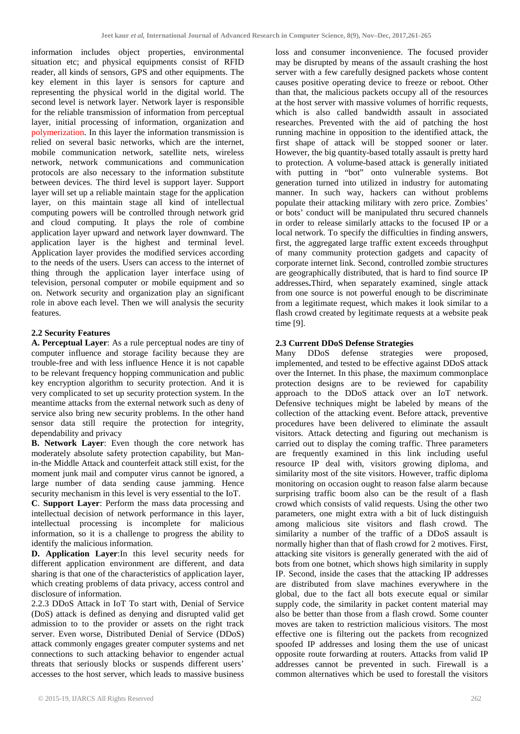information includes object properties, environmental situation etc; and physical equipments consist of RFID reader, all kinds of sensors, GPS and other equipments. The key element in this layer is sensors for capture and representing the physical world in the digital world. The second level is network layer. Network layer is responsible for the reliable transmission of information from perceptual layer, initial processing of information, organization and polymerization. In this layer the information transmission is relied on several basic networks, which are the internet, mobile communication network, satellite nets, wireless network, network communications and communication protocols are also necessary to the information substitute between devices. The third level is support layer. Support layer will set up a reliable maintain stage for the application layer, on this maintain stage all kind of intellectual computing powers will be controlled through network grid and cloud computing. It plays the role of combine application layer upward and network layer downward. The application layer is the highest and terminal level. Application layer provides the modified services according to the needs of the users. Users can access to the internet of thing through the application layer interface using of television, personal computer or mobile equipment and so on. Network security and organization play an significant role in above each level. Then we will analysis the security features.

# **2.2 Security Features**

**A. Perceptual Layer**: As a rule perceptual nodes are tiny of computer influence and storage facility because they are trouble-free and with less influence Hence it is not capable to be relevant frequency hopping communication and public key encryption algorithm to security protection. And it is very complicated to set up security protection system. In the meantime attacks from the external network such as deny of service also bring new security problems. In the other hand sensor data still require the protection for integrity, dependability and privacy

**B. Network Layer**: Even though the core network has moderately absolute safety protection capability, but Manin-the Middle Attack and counterfeit attack still exist, for the moment junk mail and computer virus cannot be ignored, a large number of data sending cause jamming. Hence security mechanism in this level is very essential to the IoT.

**C**. **Support Layer**: Perform the mass data processing and intellectual decision of network performance in this layer, intellectual processing is incomplete for malicious information, so it is a challenge to progress the ability to identify the malicious information.

**D. Application Layer**:In this level security needs for different application environment are different, and data sharing is that one of the characteristics of application layer, which creating problems of data privacy, access control and disclosure of information.

2.2.3 DDoS Attack in IoT To start with, Denial of Service (DoS) attack is defined as denying and disrupted valid get admission to to the provider or assets on the right track server. Even worse, Distributed Denial of Service (DDoS) attack commonly engages greater computer systems and net connections to such attacking behavior to engender actual threats that seriously blocks or suspends different users' accesses to the host server, which leads to massive business

loss and consumer inconvenience. The focused provider may be disrupted by means of the assault crashing the host server with a few carefully designed packets whose content causes positive operating device to freeze or reboot. Other than that, the malicious packets occupy all of the resources at the host server with massive volumes of horrific requests, which is also called bandwidth assault in associated researches. Prevented with the aid of patching the host running machine in opposition to the identified attack, the first shape of attack will be stopped sooner or later. However, the big quantity-based totally assault is pretty hard to protection. A volume-based attack is generally initiated with putting in "bot" onto vulnerable systems. Bot generation turned into utilized in industry for automating manner. In such way, hackers can without problems populate their attacking military with zero price. Zombies' or bots' conduct will be manipulated thru secured channels in order to release similarly attacks to the focused IP or a local network. To specify the difficulties in finding answers, first, the aggregated large traffic extent exceeds throughput of many community protection gadgets and capacity of corporate internet link. Second, controlled zombie structures are geographically distributed, that is hard to find source IP addresses**.**Third, when separately examined, single attack from one source is not powerful enough to be discriminate from a legitimate request, which makes it look similar to a flash crowd created by legitimate requests at a website peak time [9].

**2.3 Current DDoS Defense Strategies**  Many DDoS defense strategies were proposed, implemented, and tested to be effective against DDoS attack over the Internet. In this phase, the maximum commonplace protection designs are to be reviewed for capability approach to the DDoS attack over an IoT network. Defensive techniques might be labeled by means of the collection of the attacking event. Before attack, preventive procedures have been delivered to eliminate the assault visitors. Attack detecting and figuring out mechanism is carried out to display the coming traffic. Three parameters are frequently examined in this link including useful resource IP deal with, visitors growing diploma, and similarity most of the site visitors. However, traffic diploma monitoring on occasion ought to reason false alarm because surprising traffic boom also can be the result of a flash crowd which consists of valid requests. Using the other two parameters, one might extra with a bit of luck distinguish among malicious site visitors and flash crowd. The similarity a number of the traffic of a DDoS assault is normally higher than that of flash crowd for 2 motives. First, attacking site visitors is generally generated with the aid of bots from one botnet, which shows high similarity in supply IP. Second, inside the cases that the attacking IP addresses are distributed from slave machines everywhere in the global, due to the fact all bots execute equal or similar supply code, the similarity in packet content material may also be better than those from a flash crowd. Some counter moves are taken to restriction malicious visitors. The most effective one is filtering out the packets from recognized spoofed IP addresses and losing them the use of unicast opposite route forwarding at routers. Attacks from valid IP addresses cannot be prevented in such. Firewall is a common alternatives which be used to forestall the visitors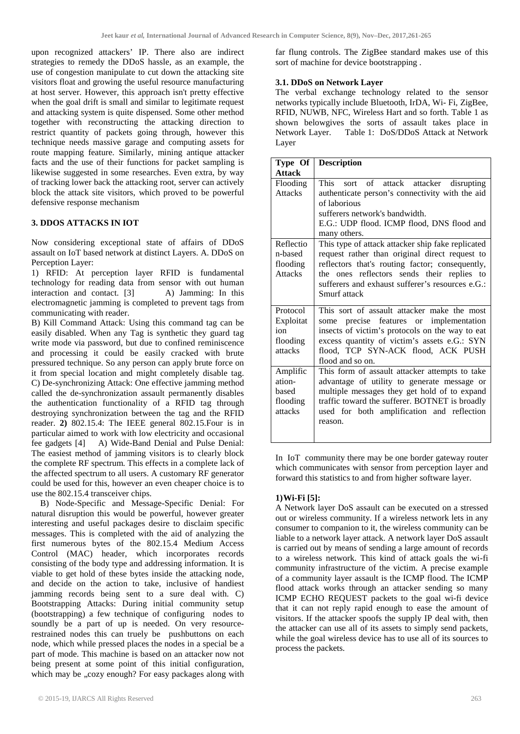upon recognized attackers' IP. There also are indirect strategies to remedy the DDoS hassle, as an example, the use of congestion manipulate to cut down the attacking site visitors float and growing the useful resource manufacturing at host server. However, this approach isn't pretty effective when the goal drift is small and similar to legitimate request and attacking system is quite dispensed. Some other method together with reconstructing the attacking direction to restrict quantity of packets going through, however this technique needs massive garage and computing assets for route mapping feature. Similarly, mining antique attacker facts and the use of their functions for packet sampling is likewise suggested in some researches. Even extra, by way of tracking lower back the attacking root, server can actively block the attack site visitors, which proved to be powerful defensive response mechanism

## **3. DDOS ATTACKS IN IOT**

Now considering exceptional state of affairs of DDoS assault on IoT based network at distinct Layers. A. DDoS on Perception Layer:

1) RFID: At perception layer RFID is fundamental technology for reading data from sensor with out human interaction and contact. [3] A) Jamming: In this electromagnetic jamming is completed to prevent tags from communicating with reader.

B) Kill Command Attack: Using this command tag can be easily disabled. When any Tag is synthetic they guard tag write mode via password, but due to confined reminiscence and processing it could be easily cracked with brute pressured technique. So any person can apply brute force on it from special location and might completely disable tag. C) De-synchronizing Attack: One effective jamming method called the de-synchronization assault permanently disables the authentication functionality of a RFID tag through destroying synchronization between the tag and the RFID reader. **2)** 802.15.4: The IEEE general 802.15.Four is in particular aimed to work with low electricity and occasional fee gadgets [4] A) Wide-Band Denial and Pulse Denial: The easiest method of jamming visitors is to clearly block the complete RF spectrum. This effects in a complete lack of the affected spectrum to all users. A customary RF generator could be used for this, however an even cheaper choice is to use the 802.15.4 transceiver chips.

 B) Node-Specific and Message-Specific Denial: For natural disruption this would be powerful, however greater interesting and useful packages desire to disclaim specific messages. This is completed with the aid of analyzing the first numerous bytes of the 802.15.4 Medium Access Control (MAC) header, which incorporates records consisting of the body type and addressing information. It is viable to get hold of these bytes inside the attacking node, and decide on the action to take, inclusive of handiest jamming records being sent to a sure deal with. C) Bootstrapping Attacks: During initial community setup (bootstrapping) a few technique of configuring nodes to soundly be a part of up is needed. On very resourcerestrained nodes this can truely be pushbuttons on each node, which while pressed places the nodes in a special be a part of mode. This machine is based on an attacker now not being present at some point of this initial configuration, which may be "cozy enough? For easy packages along with

far flung controls. The ZigBee standard makes use of this sort of machine for device bootstrapping .

### **3.1. DDoS on Network Layer**

The verbal exchange technology related to the sensor networks typically include Bluetooth, IrDA, Wi- Fi, ZigBee, RFID, NUWB, NFC, Wireless Hart and so forth. Table 1 as shown belowgives the sorts of assault takes place in Network Layer. Table 1: DoS/DDoS Attack at Network Layer

| Type Of                                             | <b>Description</b>                                                                                                                                                                                                                                                       |
|-----------------------------------------------------|--------------------------------------------------------------------------------------------------------------------------------------------------------------------------------------------------------------------------------------------------------------------------|
| <b>Attack</b>                                       |                                                                                                                                                                                                                                                                          |
| Flooding<br><b>Attacks</b>                          | This sort of attack attacker disrupting<br>authenticate person's connectivity with the aid<br>of laborious<br>sufferers network's bandwidth.<br>E.G.: UDP flood. ICMP flood, DNS flood and<br>many others.                                                               |
| Reflectio<br>n-based<br>flooding<br><b>Attacks</b>  | This type of attack attacker ship fake replicated<br>request rather than original direct request to<br>reflectors that's routing factor; consequently,<br>the ones reflectors sends their replies to<br>sufferers and exhaust sufferer's resources e.G.:<br>Smurf attack |
| Protocol<br>Exploitat<br>ion<br>flooding<br>attacks | This sort of assault attacker make the most<br>some precise features or implementation<br>insects of victim's protocols on the way to eat<br>excess quantity of victim's assets e.G.: SYN<br>flood, TCP SYN-ACK flood, ACK PUSH<br>flood and so on.                      |
| Amplific<br>ation-<br>based<br>flooding<br>attacks  | This form of assault attacker attempts to take<br>advantage of utility to generate message or<br>multiple messages they get hold of to expand<br>traffic toward the sufferer. BOTNET is broadly<br>used for both amplification and reflection<br>reason.                 |

In IoT community there may be one border gateway router which communicates with sensor from perception layer and forward this statistics to and from higher software layer.

## **1)Wi-Fi [5]:**

A Network layer DoS assault can be executed on a stressed out or wireless community. If a wireless network lets in any consumer to companion to it, the wireless community can be liable to a network layer attack. A network layer DoS assault is carried out by means of sending a large amount of records to a wireless network. This kind of attack goals the wi-fi community infrastructure of the victim. A precise example of a community layer assault is the ICMP flood. The ICMP flood attack works through an attacker sending so many ICMP ECHO REQUEST packets to the goal wi-fi device that it can not reply rapid enough to ease the amount of visitors. If the attacker spoofs the supply IP deal with, then the attacker can use all of its assets to simply send packets, while the goal wireless device has to use all of its sources to process the packets.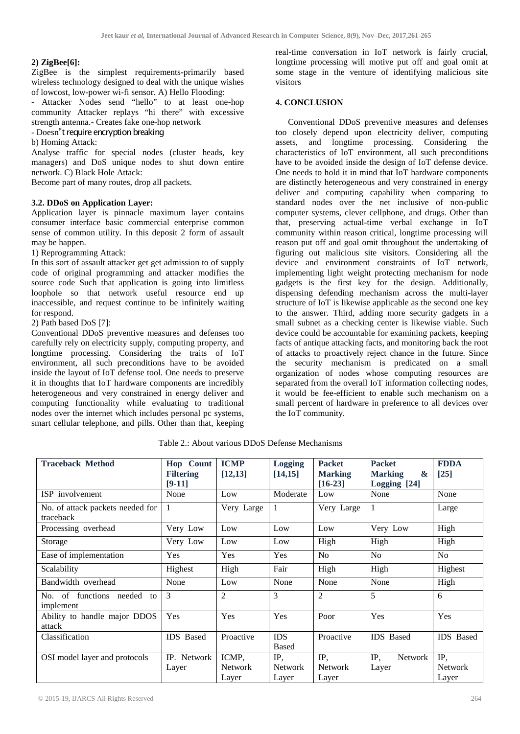# **2) ZigBee[6]:**

ZigBee is the simplest requirements-primarily based wireless technology designed to deal with the unique wishes of lowcost, low-power wi-fi sensor. A) Hello Flooding:

- Attacker Nodes send "hello" to at least one-hop community Attacker replays "hi there" with excessive strength antenna.- Creates fake one-hop network

- Doesn"t require encryption breaking

b) Homing Attack:

Analyse traffic for special nodes (cluster heads, key managers) and DoS unique nodes to shut down entire network. C) Black Hole Attack:

Become part of many routes, drop all packets.

## **3.2. DDoS on Application Layer:**

Application layer is pinnacle maximum layer contains consumer interface basic commercial enterprise common sense of common utility. In this deposit 2 form of assault may be happen.

1) Reprogramming Attack:

In this sort of assault attacker get get admission to of supply code of original programming and attacker modifies the source code Such that application is going into limitless loophole so that network useful resource end up inaccessible, and request continue to be infinitely waiting for respond.

2) Path based DoS [7]:

Conventional DDoS preventive measures and defenses too carefully rely on electricity supply, computing property, and longtime processing. Considering the traits of IoT environment, all such preconditions have to be avoided inside the layout of IoT defense tool. One needs to preserve it in thoughts that IoT hardware components are incredibly heterogeneous and very constrained in energy deliver and computing functionality while evaluating to traditional nodes over the internet which includes personal pc systems, smart cellular telephone, and pills. Other than that, keeping

real-time conversation in IoT network is fairly crucial, longtime processing will motive put off and goal omit at some stage in the venture of identifying malicious site visitors

### **4. CONCLUSION**

Conventional DDoS preventive measures and defenses too closely depend upon electricity deliver, computing assets, and longtime processing. Considering the characteristics of IoT environment, all such preconditions have to be avoided inside the design of IoT defense device. One needs to hold it in mind that IoT hardware components are distinctly heterogeneous and very constrained in energy deliver and computing capability when comparing to standard nodes over the net inclusive of non-public computer systems, clever cellphone, and drugs. Other than that, preserving actual-time verbal exchange in IoT community within reason critical, longtime processing will reason put off and goal omit throughout the undertaking of figuring out malicious site visitors. Considering all the device and environment constraints of IoT network, implementing light weight protecting mechanism for node gadgets is the first key for the design. Additionally, dispensing defending mechanism across the multi-layer structure of IoT is likewise applicable as the second one key to the answer. Third, adding more security gadgets in a small subnet as a checking center is likewise viable. Such device could be accountable for examining packets, keeping facts of antique attacking facts, and monitoring back the root of attacks to proactively reject chance in the future. Since the security mechanism is predicated on a small organization of nodes whose computing resources are separated from the overall IoT information collecting nodes, it would be fee-efficient to enable such mechanism on a small percent of hardware in preference to all devices over the IoT community.

| <b>Traceback Method</b>                       | <b>Hop</b> Count | <b>ICMP</b>    | <b>Logging</b>             | <b>Packet</b>  | <b>Packet</b>                           | <b>FDDA</b>      |
|-----------------------------------------------|------------------|----------------|----------------------------|----------------|-----------------------------------------|------------------|
|                                               | <b>Filtering</b> | [12, 13]       | [14, 15]                   | <b>Marking</b> | $\boldsymbol{\alpha}$<br><b>Marking</b> | $[25]$           |
|                                               | $[9-11]$         |                |                            | $[16-23]$      | Logging [24]                            |                  |
| ISP involvement                               | None             | Low            | Moderate                   | Low            | None                                    | None             |
| No. of attack packets needed for<br>traceback | 1                | Very Large     | 1                          | Very Large     |                                         | Large            |
| Processing overhead                           | Very Low         | Low            | Low                        | Low            | Very Low                                | High             |
| Storage                                       | Very Low         | Low            | Low                        | High           | High                                    | High             |
| Ease of implementation                        | Yes              | Yes            | Yes                        | N <sub>o</sub> | N <sub>o</sub>                          | No               |
| Scalability                                   | Highest          | High           | Fair                       | High           | High                                    | Highest          |
| Bandwidth overhead                            | None             | Low            | None                       | None           | None                                    | High             |
| No. of functions needed<br>to<br>implement    | 3                | 2              | 3                          | 2              | 5                                       | 6                |
| Ability to handle major DDOS<br>attack        | Yes              | Yes            | Yes                        | Poor           | Yes                                     | Yes              |
| Classification                                | <b>IDS</b> Based | Proactive      | <b>IDS</b><br><b>Based</b> | Proactive      | <b>IDS</b> Based                        | <b>IDS</b> Based |
| OSI model layer and protocols                 | IP. Network      | ICMP,          | IP,                        | IP,            | IP,<br><b>Network</b>                   | IP,              |
|                                               | Layer            | <b>Network</b> | <b>Network</b>             | <b>Network</b> | Layer                                   | <b>Network</b>   |
|                                               |                  | Layer          | Layer                      | Layer          |                                         | Layer            |

Table 2.: About various DDoS Defense Mechanisms